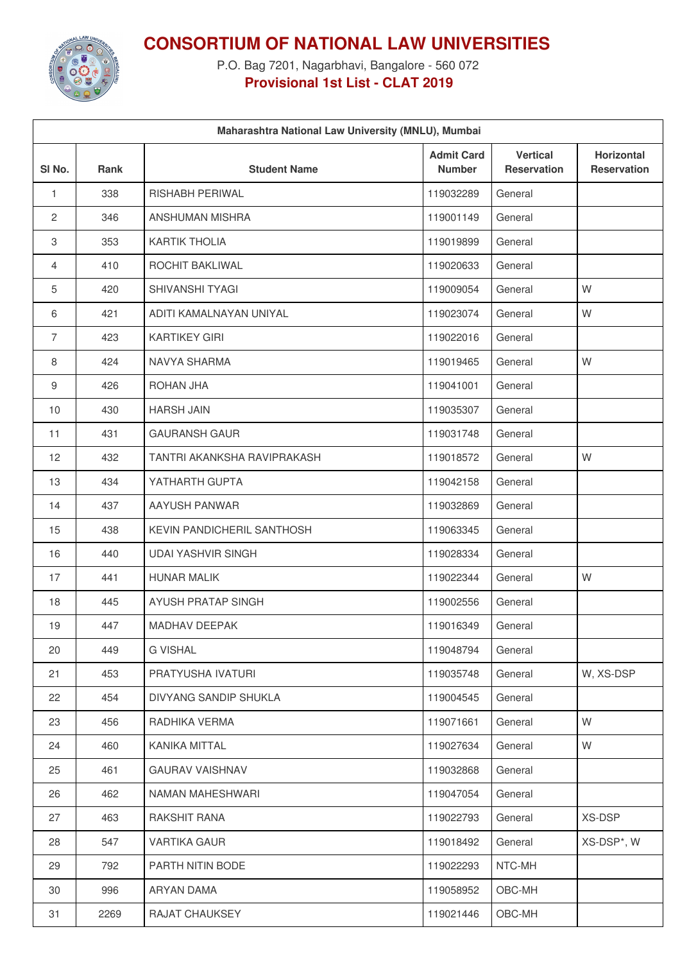

**CONSORTIUM OF NATIONAL LAW UNIVERSITIES**

P.O. Bag 7201, Nagarbhavi, Bangalore - 560 072 **Provisional 1st List - CLAT 2019**

| Maharashtra National Law University (MNLU), Mumbai |             |                             |                                    |                                       |                                         |  |
|----------------------------------------------------|-------------|-----------------------------|------------------------------------|---------------------------------------|-----------------------------------------|--|
| SI <sub>No.</sub>                                  | <b>Rank</b> | <b>Student Name</b>         | <b>Admit Card</b><br><b>Number</b> | <b>Vertical</b><br><b>Reservation</b> | <b>Horizontal</b><br><b>Reservation</b> |  |
| 1                                                  | 338         | <b>RISHABH PERIWAL</b>      | 119032289                          | General                               |                                         |  |
| $\overline{2}$                                     | 346         | ANSHUMAN MISHRA             | 119001149                          | General                               |                                         |  |
| 3                                                  | 353         | <b>KARTIK THOLIA</b>        | 119019899                          | General                               |                                         |  |
| 4                                                  | 410         | ROCHIT BAKLIWAL             | 119020633                          | General                               |                                         |  |
| 5                                                  | 420         | SHIVANSHI TYAGI             | 119009054                          | General                               | W                                       |  |
| 6                                                  | 421         | ADITI KAMALNAYAN UNIYAL     | 119023074                          | General                               | W                                       |  |
| $\overline{7}$                                     | 423         | <b>KARTIKEY GIRI</b>        | 119022016                          | General                               |                                         |  |
| 8                                                  | 424         | NAVYA SHARMA                | 119019465                          | General                               | W                                       |  |
| 9                                                  | 426         | ROHAN JHA                   | 119041001                          | General                               |                                         |  |
| 10                                                 | 430         | <b>HARSH JAIN</b>           | 119035307                          | General                               |                                         |  |
| 11                                                 | 431         | <b>GAURANSH GAUR</b>        | 119031748                          | General                               |                                         |  |
| 12                                                 | 432         | TANTRI AKANKSHA RAVIPRAKASH | 119018572                          | General                               | W                                       |  |
| 13                                                 | 434         | YATHARTH GUPTA              | 119042158                          | General                               |                                         |  |
| 14                                                 | 437         | AAYUSH PANWAR               | 119032869                          | General                               |                                         |  |
| 15                                                 | 438         | KEVIN PANDICHERIL SANTHOSH  | 119063345                          | General                               |                                         |  |
| 16                                                 | 440         | <b>UDAI YASHVIR SINGH</b>   | 119028334                          | General                               |                                         |  |
| 17                                                 | 441         | <b>HUNAR MALIK</b>          | 119022344                          | General                               | W                                       |  |
| 18                                                 | 445         | AYUSH PRATAP SINGH          | 119002556                          | General                               |                                         |  |
| 19                                                 | 447         | MADHAV DEEPAK               | 119016349                          | General                               |                                         |  |
| 20                                                 | 449         | <b>G VISHAL</b>             | 119048794                          | General                               |                                         |  |
| 21                                                 | 453         | PRATYUSHA IVATURI           | 119035748                          | General                               | W, XS-DSP                               |  |
| 22                                                 | 454         | DIVYANG SANDIP SHUKLA       | 119004545                          | General                               |                                         |  |
| 23                                                 | 456         | RADHIKA VERMA               | 119071661                          | General                               | W                                       |  |
| 24                                                 | 460         | KANIKA MITTAL               | 119027634                          | General                               | W                                       |  |
| 25                                                 | 461         | <b>GAURAV VAISHNAV</b>      | 119032868                          | General                               |                                         |  |
| 26                                                 | 462         | NAMAN MAHESHWARI            | 119047054                          | General                               |                                         |  |
| 27                                                 | 463         | RAKSHIT RANA                | 119022793                          | General                               | XS-DSP                                  |  |
| 28                                                 | 547         | <b>VARTIKA GAUR</b>         | 119018492                          | General                               | XS-DSP*, W                              |  |
| 29                                                 | 792         | PARTH NITIN BODE            | 119022293                          | NTC-MH                                |                                         |  |
| 30                                                 | 996         | ARYAN DAMA                  | 119058952                          | OBC-MH                                |                                         |  |
| 31                                                 | 2269        | RAJAT CHAUKSEY              | 119021446                          | OBC-MH                                |                                         |  |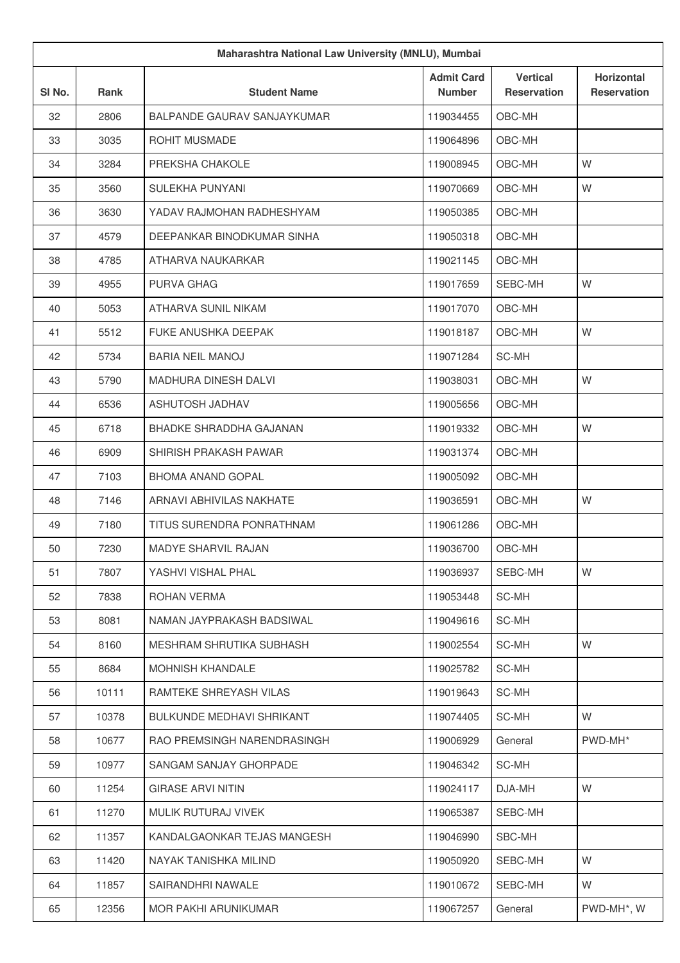| Maharashtra National Law University (MNLU), Mumbai |       |                                |                                    |                                       |                                         |
|----------------------------------------------------|-------|--------------------------------|------------------------------------|---------------------------------------|-----------------------------------------|
| SI No.                                             | Rank  | <b>Student Name</b>            | <b>Admit Card</b><br><b>Number</b> | <b>Vertical</b><br><b>Reservation</b> | <b>Horizontal</b><br><b>Reservation</b> |
| 32                                                 | 2806  | BALPANDE GAURAV SANJAYKUMAR    | 119034455                          | OBC-MH                                |                                         |
| 33                                                 | 3035  | <b>ROHIT MUSMADE</b>           | 119064896                          | OBC-MH                                |                                         |
| 34                                                 | 3284  | PREKSHA CHAKOLE                | 119008945                          | OBC-MH                                | W                                       |
| 35                                                 | 3560  | SULEKHA PUNYANI                | 119070669                          | OBC-MH                                | W                                       |
| 36                                                 | 3630  | YADAV RAJMOHAN RADHESHYAM      | 119050385                          | OBC-MH                                |                                         |
| 37                                                 | 4579  | DEEPANKAR BINODKUMAR SINHA     | 119050318                          | OBC-MH                                |                                         |
| 38                                                 | 4785  | ATHARVA NAUKARKAR              | 119021145                          | OBC-MH                                |                                         |
| 39                                                 | 4955  | PURVA GHAG                     | 119017659                          | SEBC-MH                               | W                                       |
| 40                                                 | 5053  | ATHARVA SUNIL NIKAM            | 119017070                          | OBC-MH                                |                                         |
| 41                                                 | 5512  | <b>FUKE ANUSHKA DEEPAK</b>     | 119018187                          | OBC-MH                                | W                                       |
| 42                                                 | 5734  | <b>BARIA NEIL MANOJ</b>        | 119071284                          | SC-MH                                 |                                         |
| 43                                                 | 5790  | <b>MADHURA DINESH DALVI</b>    | 119038031                          | OBC-MH                                | W                                       |
| 44                                                 | 6536  | ASHUTOSH JADHAV                | 119005656                          | OBC-MH                                |                                         |
| 45                                                 | 6718  | <b>BHADKE SHRADDHA GAJANAN</b> | 119019332                          | OBC-MH                                | W                                       |
| 46                                                 | 6909  | SHIRISH PRAKASH PAWAR          | 119031374                          | OBC-MH                                |                                         |
| 47                                                 | 7103  | <b>BHOMA ANAND GOPAL</b>       | 119005092                          | OBC-MH                                |                                         |
| 48                                                 | 7146  | ARNAVI ABHIVILAS NAKHATE       | 119036591                          | OBC-MH                                | W                                       |
| 49                                                 | 7180  | TITUS SURENDRA PONRATHNAM      | 119061286                          | OBC-MH                                |                                         |
| 50                                                 | 7230  | <b>MADYE SHARVIL RAJAN</b>     | 119036700                          | OBC-MH                                |                                         |
| 51                                                 | 7807  | YASHVI VISHAL PHAL             | 119036937                          | SEBC-MH                               | W                                       |
| 52                                                 | 7838  | ROHAN VERMA                    | 119053448                          | SC-MH                                 |                                         |
| 53                                                 | 8081  | NAMAN JAYPRAKASH BADSIWAL      | 119049616                          | SC-MH                                 |                                         |
| 54                                                 | 8160  | MESHRAM SHRUTIKA SUBHASH       | 119002554                          | SC-MH                                 | W                                       |
| 55                                                 | 8684  | <b>MOHNISH KHANDALE</b>        | 119025782                          | SC-MH                                 |                                         |
| 56                                                 | 10111 | RAMTEKE SHREYASH VILAS         | 119019643                          | SC-MH                                 |                                         |
| 57                                                 | 10378 | BULKUNDE MEDHAVI SHRIKANT      | 119074405                          | SC-MH                                 | W                                       |
| 58                                                 | 10677 | RAO PREMSINGH NARENDRASINGH    | 119006929                          | General                               | PWD-MH*                                 |
| 59                                                 | 10977 | SANGAM SANJAY GHORPADE         | 119046342                          | SC-MH                                 |                                         |
| 60                                                 | 11254 | <b>GIRASE ARVI NITIN</b>       | 119024117                          | DJA-MH                                | W                                       |
| 61                                                 | 11270 | MULIK RUTURAJ VIVEK            | 119065387                          | SEBC-MH                               |                                         |
| 62                                                 | 11357 | KANDALGAONKAR TEJAS MANGESH    | 119046990                          | SBC-MH                                |                                         |
| 63                                                 | 11420 | NAYAK TANISHKA MILIND          | 119050920                          | SEBC-MH                               | W                                       |
| 64                                                 | 11857 | SAIRANDHRI NAWALE              | 119010672                          | SEBC-MH                               | W                                       |
| 65                                                 | 12356 | MOR PAKHI ARUNIKUMAR           | 119067257                          | General                               | PWD-MH*, W                              |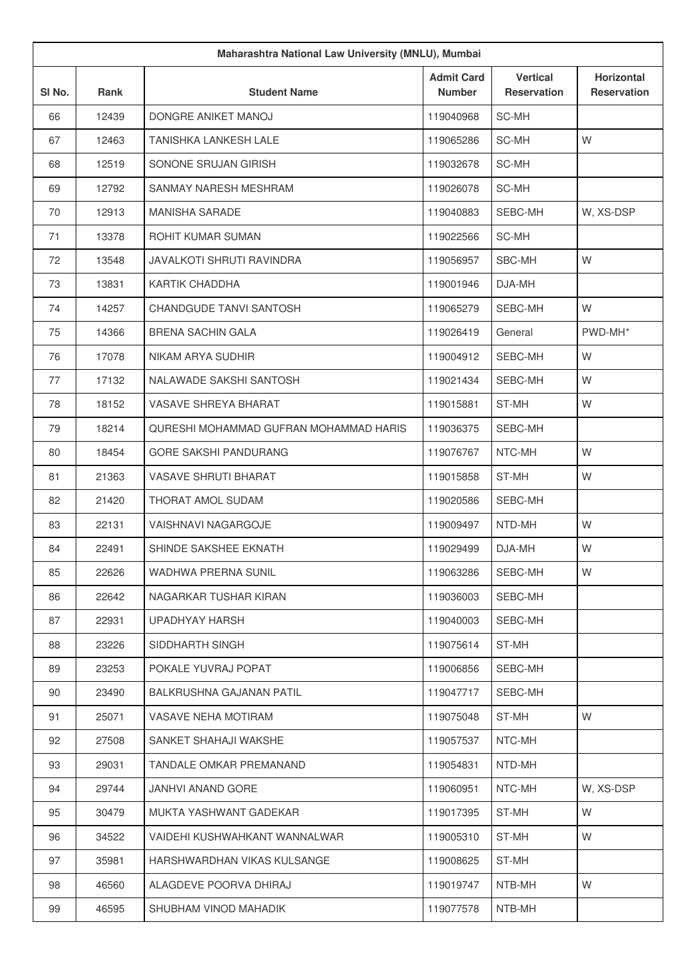| Maharashtra National Law University (MNLU), Mumbai |             |                                        |                                    |                                       |                                         |
|----------------------------------------------------|-------------|----------------------------------------|------------------------------------|---------------------------------------|-----------------------------------------|
| SI No.                                             | <b>Rank</b> | <b>Student Name</b>                    | <b>Admit Card</b><br><b>Number</b> | <b>Vertical</b><br><b>Reservation</b> | <b>Horizontal</b><br><b>Reservation</b> |
| 66                                                 | 12439       | DONGRE ANIKET MANOJ                    | 119040968                          | SC-MH                                 |                                         |
| 67                                                 | 12463       | <b>TANISHKA LANKESH LALE</b>           | 119065286                          | SC-MH                                 | W                                       |
| 68                                                 | 12519       | SONONE SRUJAN GIRISH                   | 119032678                          | SC-MH                                 |                                         |
| 69                                                 | 12792       | SANMAY NARESH MESHRAM                  | 119026078                          | SC-MH                                 |                                         |
| 70                                                 | 12913       | <b>MANISHA SARADE</b>                  | 119040883                          | SEBC-MH                               | W, XS-DSP                               |
| 71                                                 | 13378       | <b>ROHIT KUMAR SUMAN</b>               | 119022566                          | SC-MH                                 |                                         |
| 72                                                 | 13548       | <b>JAVALKOTI SHRUTI RAVINDRA</b>       | 119056957                          | SBC-MH                                | W                                       |
| 73                                                 | 13831       | <b>KARTIK CHADDHA</b>                  | 119001946                          | DJA-MH                                |                                         |
| 74                                                 | 14257       | CHANDGUDE TANVI SANTOSH                | 119065279                          | SEBC-MH                               | W                                       |
| 75                                                 | 14366       | <b>BRENA SACHIN GALA</b>               | 119026419                          | General                               | PWD-MH*                                 |
| 76                                                 | 17078       | NIKAM ARYA SUDHIR                      | 119004912                          | SEBC-MH                               | W                                       |
| 77                                                 | 17132       | NALAWADE SAKSHI SANTOSH                | 119021434                          | SEBC-MH                               | W                                       |
| 78                                                 | 18152       | VASAVE SHREYA BHARAT                   | 119015881                          | ST-MH                                 | W                                       |
| 79                                                 | 18214       | QURESHI MOHAMMAD GUFRAN MOHAMMAD HARIS | 119036375                          | SEBC-MH                               |                                         |
| 80                                                 | 18454       | <b>GORE SAKSHI PANDURANG</b>           | 119076767                          | NTC-MH                                | W                                       |
| 81                                                 | 21363       | <b>VASAVE SHRUTI BHARAT</b>            | 119015858                          | ST-MH                                 | W                                       |
| 82                                                 | 21420       | THORAT AMOL SUDAM                      | 119020586                          | SEBC-MH                               |                                         |
| 83                                                 | 22131       | VAISHNAVI NAGARGOJE                    | 119009497                          | NTD-MH                                | W                                       |
| 84                                                 | 22491       | SHINDE SAKSHEE EKNATH                  | 119029499                          | DJA-MH                                | W                                       |
| 85                                                 | 22626       | WADHWA PRERNA SUNIL                    | 119063286                          | SEBC-MH                               | W                                       |
| 86                                                 | 22642       | NAGARKAR TUSHAR KIRAN                  | 119036003                          | SEBC-MH                               |                                         |
| 87                                                 | 22931       | UPADHYAY HARSH                         | 119040003                          | SEBC-MH                               |                                         |
| 88                                                 | 23226       | SIDDHARTH SINGH                        | 119075614                          | ST-MH                                 |                                         |
| 89                                                 | 23253       | POKALE YUVRAJ POPAT                    | 119006856                          | SEBC-MH                               |                                         |
| 90                                                 | 23490       | <b>BALKRUSHNA GAJANAN PATIL</b>        | 119047717                          | SEBC-MH                               |                                         |
| 91                                                 | 25071       | VASAVE NEHA MOTIRAM                    | 119075048                          | ST-MH                                 | W                                       |
| 92                                                 | 27508       | SANKET SHAHAJI WAKSHE                  | 119057537                          | NTC-MH                                |                                         |
| 93                                                 | 29031       | TANDALE OMKAR PREMANAND                | 119054831                          | NTD-MH                                |                                         |
| 94                                                 | 29744       | JANHVI ANAND GORE                      | 119060951                          | NTC-MH                                | W, XS-DSP                               |
| 95                                                 | 30479       | MUKTA YASHWANT GADEKAR                 | 119017395                          | ST-MH                                 | W                                       |
| 96                                                 | 34522       | VAIDEHI KUSHWAHKANT WANNALWAR          | 119005310                          | ST-MH                                 | W                                       |
| 97                                                 | 35981       | HARSHWARDHAN VIKAS KULSANGE            | 119008625                          | ST-MH                                 |                                         |
| 98                                                 | 46560       | ALAGDEVE POORVA DHIRAJ                 | 119019747                          | NTB-MH                                | W                                       |
| 99                                                 | 46595       | SHUBHAM VINOD MAHADIK                  | 119077578                          | NTB-MH                                |                                         |